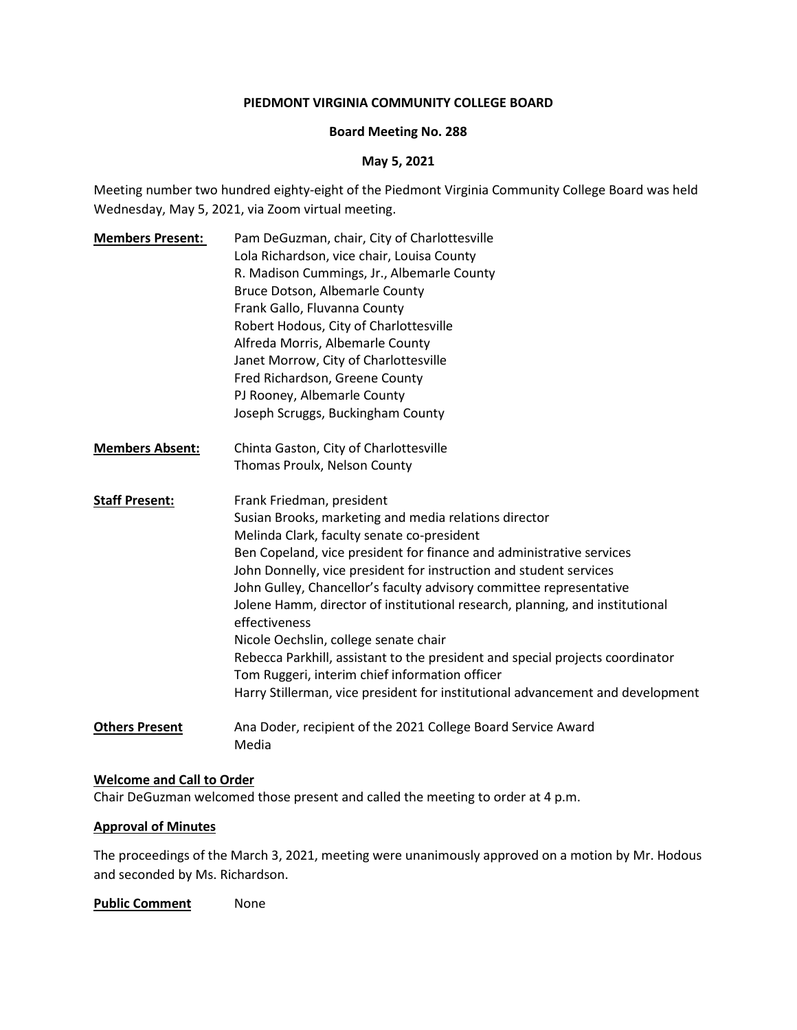#### **PIEDMONT VIRGINIA COMMUNITY COLLEGE BOARD**

#### **Board Meeting No. 288**

#### **May 5, 2021**

Meeting number two hundred eighty-eight of the Piedmont Virginia Community College Board was held Wednesday, May 5, 2021, via Zoom virtual meeting.

**Members Present:** Pam DeGuzman, chair, City of Charlottesville Lola Richardson, vice chair, Louisa County R. Madison Cummings, Jr., Albemarle County Bruce Dotson, Albemarle County Frank Gallo, Fluvanna County Robert Hodous, City of Charlottesville Alfreda Morris, Albemarle County Janet Morrow, City of Charlottesville Fred Richardson, Greene County PJ Rooney, Albemarle County Joseph Scruggs, Buckingham County **Members Absent:** Chinta Gaston, City of Charlottesville Thomas Proulx, Nelson County **Staff Present:** Frank Friedman, president Susian Brooks, marketing and media relations director Melinda Clark, faculty senate co-president Ben Copeland, vice president for finance and administrative services John Donnelly, vice president for instruction and student services John Gulley, Chancellor's faculty advisory committee representative Jolene Hamm, director of institutional research, planning, and institutional effectiveness Nicole Oechslin, college senate chair Rebecca Parkhill, assistant to the president and special projects coordinator Tom Ruggeri, interim chief information officer Harry Stillerman, vice president for institutional advancement and development **Others Present** Ana Doder, recipient of the 2021 College Board Service Award Media

#### **Welcome and Call to Order**

Chair DeGuzman welcomed those present and called the meeting to order at 4 p.m.

#### **Approval of Minutes**

The proceedings of the March 3, 2021, meeting were unanimously approved on a motion by Mr. Hodous and seconded by Ms. Richardson.

**Public Comment** None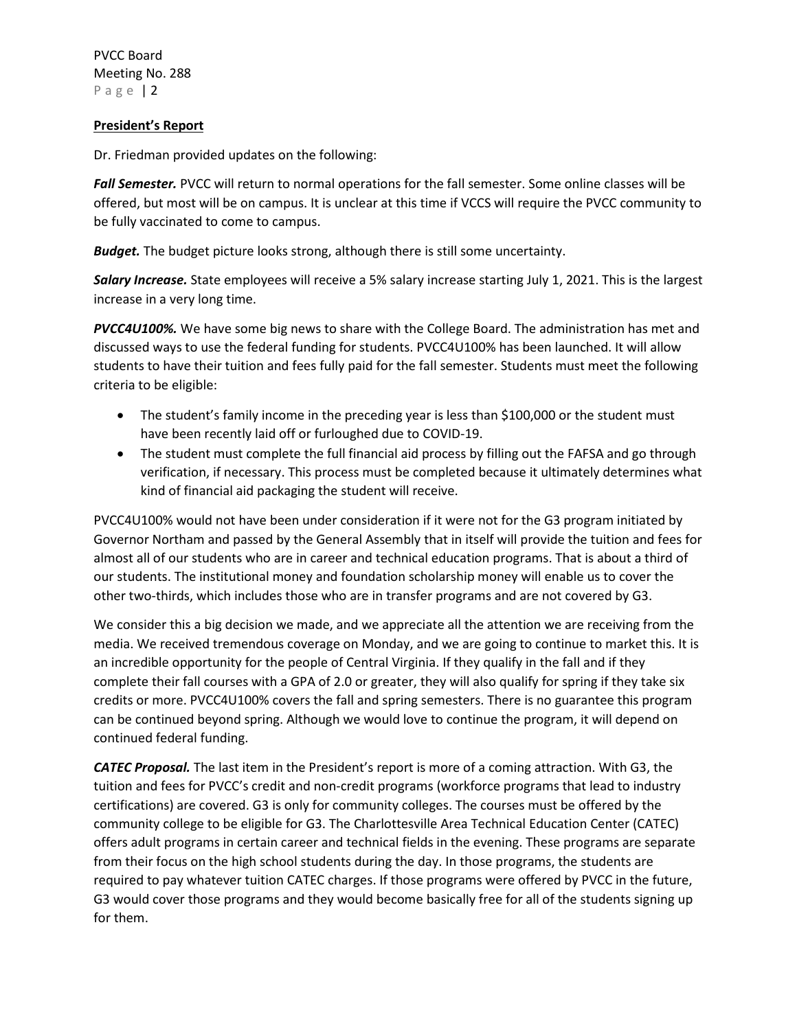## **President's Report**

Dr. Friedman provided updates on the following:

*Fall Semester.* PVCC will return to normal operations for the fall semester. Some online classes will be offered, but most will be on campus. It is unclear at this time if VCCS will require the PVCC community to be fully vaccinated to come to campus.

*Budget.* The budget picture looks strong, although there is still some uncertainty.

*Salary Increase.* State employees will receive a 5% salary increase starting July 1, 2021. This is the largest increase in a very long time.

*PVCC4U100%.* We have some big news to share with the College Board. The administration has met and discussed ways to use the federal funding for students. PVCC4U100% has been launched. It will allow students to have their tuition and fees fully paid for the fall semester. Students must meet the following criteria to be eligible:

- The student's family income in the preceding year is less than \$100,000 or the student must have been recently laid off or furloughed due to COVID-19.
- The student must complete the full financial aid process by filling out the FAFSA and go through verification, if necessary. This process must be completed because it ultimately determines what kind of financial aid packaging the student will receive.

PVCC4U100% would not have been under consideration if it were not for the G3 program initiated by Governor Northam and passed by the General Assembly that in itself will provide the tuition and fees for almost all of our students who are in career and technical education programs. That is about a third of our students. The institutional money and foundation scholarship money will enable us to cover the other two-thirds, which includes those who are in transfer programs and are not covered by G3.

We consider this a big decision we made, and we appreciate all the attention we are receiving from the media. We received tremendous coverage on Monday, and we are going to continue to market this. It is an incredible opportunity for the people of Central Virginia. If they qualify in the fall and if they complete their fall courses with a GPA of 2.0 or greater, they will also qualify for spring if they take six credits or more. PVCC4U100% covers the fall and spring semesters. There is no guarantee this program can be continued beyond spring. Although we would love to continue the program, it will depend on continued federal funding.

*CATEC Proposal.* The last item in the President's report is more of a coming attraction. With G3, the tuition and fees for PVCC's credit and non-credit programs (workforce programs that lead to industry certifications) are covered. G3 is only for community colleges. The courses must be offered by the community college to be eligible for G3. The Charlottesville Area Technical Education Center (CATEC) offers adult programs in certain career and technical fields in the evening. These programs are separate from their focus on the high school students during the day. In those programs, the students are required to pay whatever tuition CATEC charges. If those programs were offered by PVCC in the future, G3 would cover those programs and they would become basically free for all of the students signing up for them.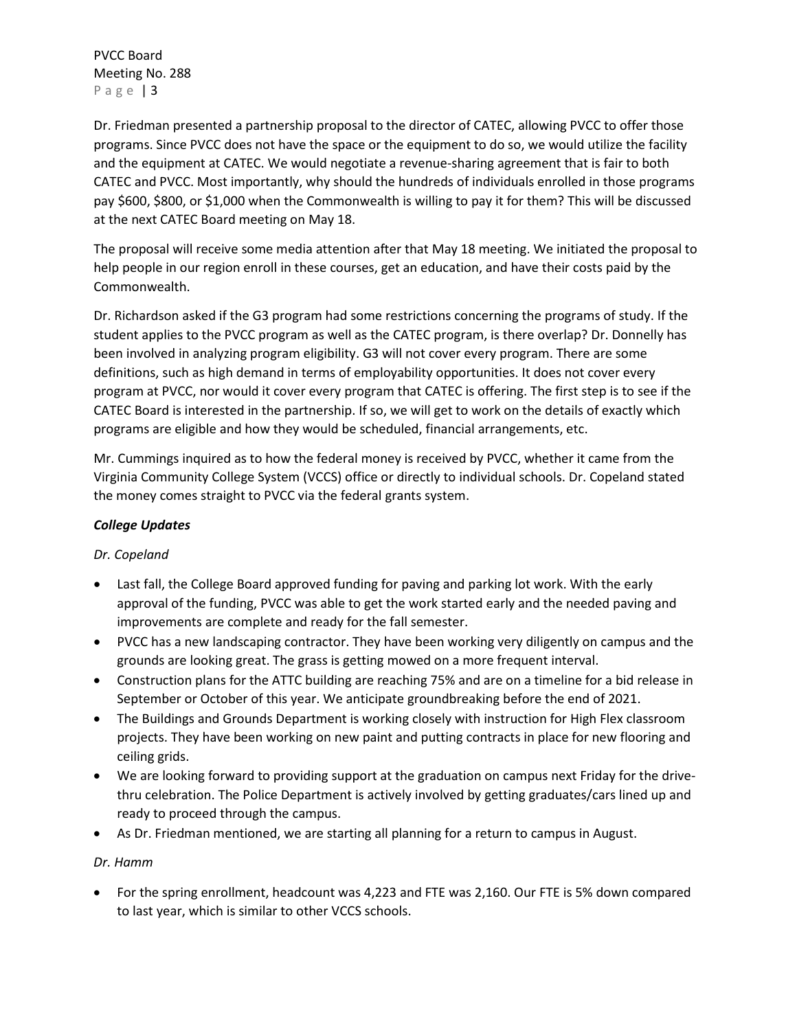Dr. Friedman presented a partnership proposal to the director of CATEC, allowing PVCC to offer those programs. Since PVCC does not have the space or the equipment to do so, we would utilize the facility and the equipment at CATEC. We would negotiate a revenue-sharing agreement that is fair to both CATEC and PVCC. Most importantly, why should the hundreds of individuals enrolled in those programs pay \$600, \$800, or \$1,000 when the Commonwealth is willing to pay it for them? This will be discussed at the next CATEC Board meeting on May 18.

The proposal will receive some media attention after that May 18 meeting. We initiated the proposal to help people in our region enroll in these courses, get an education, and have their costs paid by the Commonwealth.

Dr. Richardson asked if the G3 program had some restrictions concerning the programs of study. If the student applies to the PVCC program as well as the CATEC program, is there overlap? Dr. Donnelly has been involved in analyzing program eligibility. G3 will not cover every program. There are some definitions, such as high demand in terms of employability opportunities. It does not cover every program at PVCC, nor would it cover every program that CATEC is offering. The first step is to see if the CATEC Board is interested in the partnership. If so, we will get to work on the details of exactly which programs are eligible and how they would be scheduled, financial arrangements, etc.

Mr. Cummings inquired as to how the federal money is received by PVCC, whether it came from the Virginia Community College System (VCCS) office or directly to individual schools. Dr. Copeland stated the money comes straight to PVCC via the federal grants system.

# *College Updates*

# *Dr. Copeland*

- Last fall, the College Board approved funding for paving and parking lot work. With the early approval of the funding, PVCC was able to get the work started early and the needed paving and improvements are complete and ready for the fall semester.
- PVCC has a new landscaping contractor. They have been working very diligently on campus and the grounds are looking great. The grass is getting mowed on a more frequent interval.
- Construction plans for the ATTC building are reaching 75% and are on a timeline for a bid release in September or October of this year. We anticipate groundbreaking before the end of 2021.
- The Buildings and Grounds Department is working closely with instruction for High Flex classroom projects. They have been working on new paint and putting contracts in place for new flooring and ceiling grids.
- We are looking forward to providing support at the graduation on campus next Friday for the drivethru celebration. The Police Department is actively involved by getting graduates/cars lined up and ready to proceed through the campus.
- As Dr. Friedman mentioned, we are starting all planning for a return to campus in August.

## *Dr. Hamm*

• For the spring enrollment, headcount was 4,223 and FTE was 2,160. Our FTE is 5% down compared to last year, which is similar to other VCCS schools.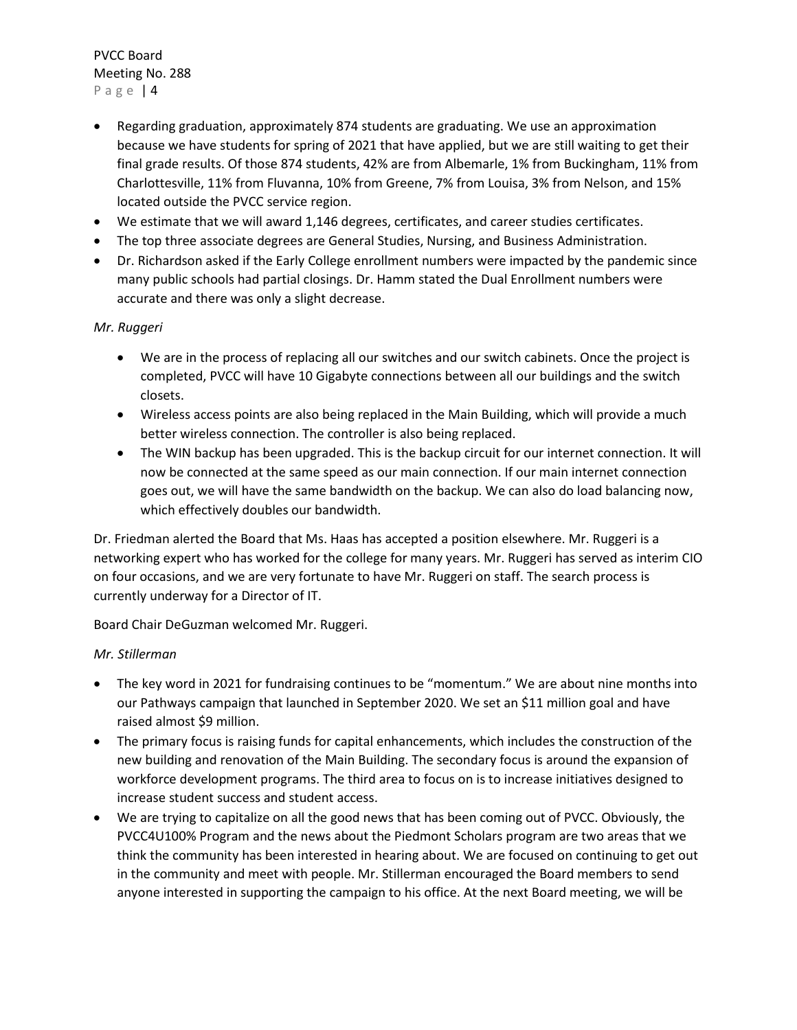- Regarding graduation, approximately 874 students are graduating. We use an approximation because we have students for spring of 2021 that have applied, but we are still waiting to get their final grade results. Of those 874 students, 42% are from Albemarle, 1% from Buckingham, 11% from Charlottesville, 11% from Fluvanna, 10% from Greene, 7% from Louisa, 3% from Nelson, and 15% located outside the PVCC service region.
- We estimate that we will award 1,146 degrees, certificates, and career studies certificates.
- The top three associate degrees are General Studies, Nursing, and Business Administration.
- Dr. Richardson asked if the Early College enrollment numbers were impacted by the pandemic since many public schools had partial closings. Dr. Hamm stated the Dual Enrollment numbers were accurate and there was only a slight decrease.

## *Mr. Ruggeri*

- We are in the process of replacing all our switches and our switch cabinets. Once the project is completed, PVCC will have 10 Gigabyte connections between all our buildings and the switch closets.
- Wireless access points are also being replaced in the Main Building, which will provide a much better wireless connection. The controller is also being replaced.
- The WIN backup has been upgraded. This is the backup circuit for our internet connection. It will now be connected at the same speed as our main connection. If our main internet connection goes out, we will have the same bandwidth on the backup. We can also do load balancing now, which effectively doubles our bandwidth.

Dr. Friedman alerted the Board that Ms. Haas has accepted a position elsewhere. Mr. Ruggeri is a networking expert who has worked for the college for many years. Mr. Ruggeri has served as interim CIO on four occasions, and we are very fortunate to have Mr. Ruggeri on staff. The search process is currently underway for a Director of IT.

Board Chair DeGuzman welcomed Mr. Ruggeri.

## *Mr. Stillerman*

- The key word in 2021 for fundraising continues to be "momentum." We are about nine months into our Pathways campaign that launched in September 2020. We set an \$11 million goal and have raised almost \$9 million.
- The primary focus is raising funds for capital enhancements, which includes the construction of the new building and renovation of the Main Building. The secondary focus is around the expansion of workforce development programs. The third area to focus on is to increase initiatives designed to increase student success and student access.
- We are trying to capitalize on all the good news that has been coming out of PVCC. Obviously, the PVCC4U100% Program and the news about the Piedmont Scholars program are two areas that we think the community has been interested in hearing about. We are focused on continuing to get out in the community and meet with people. Mr. Stillerman encouraged the Board members to send anyone interested in supporting the campaign to his office. At the next Board meeting, we will be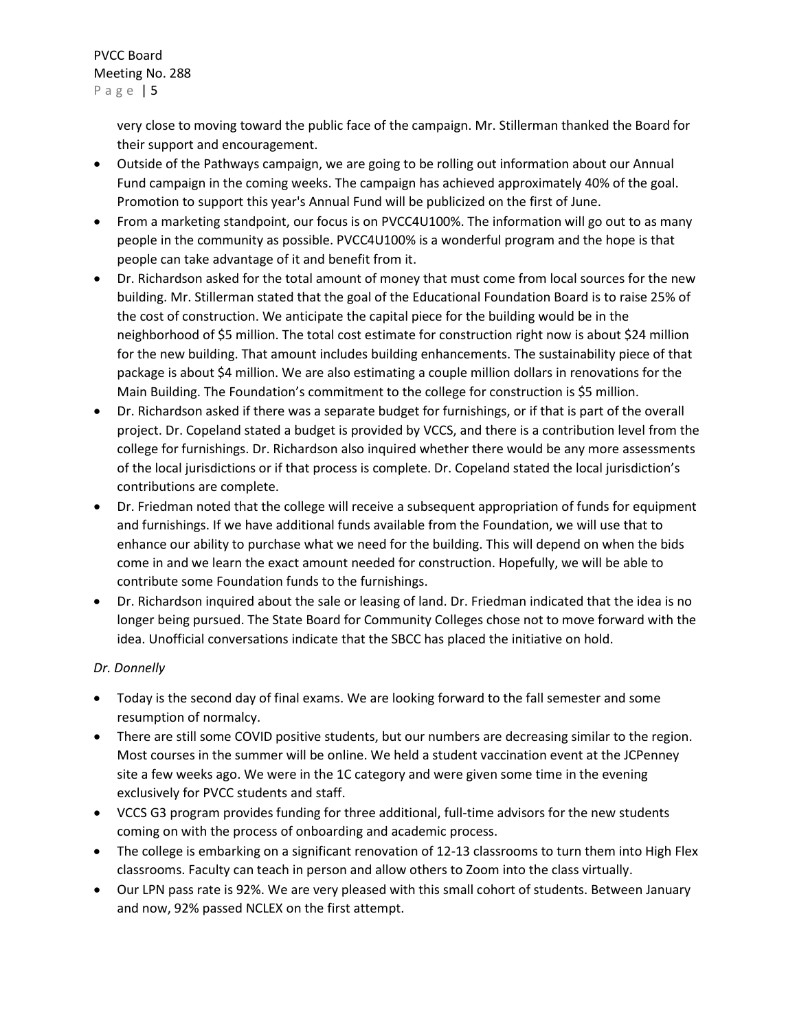very close to moving toward the public face of the campaign. Mr. Stillerman thanked the Board for their support and encouragement.

- Outside of the Pathways campaign, we are going to be rolling out information about our Annual Fund campaign in the coming weeks. The campaign has achieved approximately 40% of the goal. Promotion to support this year's Annual Fund will be publicized on the first of June.
- From a marketing standpoint, our focus is on PVCC4U100%. The information will go out to as many people in the community as possible. PVCC4U100% is a wonderful program and the hope is that people can take advantage of it and benefit from it.
- Dr. Richardson asked for the total amount of money that must come from local sources for the new building. Mr. Stillerman stated that the goal of the Educational Foundation Board is to raise 25% of the cost of construction. We anticipate the capital piece for the building would be in the neighborhood of \$5 million. The total cost estimate for construction right now is about \$24 million for the new building. That amount includes building enhancements. The sustainability piece of that package is about \$4 million. We are also estimating a couple million dollars in renovations for the Main Building. The Foundation's commitment to the college for construction is \$5 million.
- Dr. Richardson asked if there was a separate budget for furnishings, or if that is part of the overall project. Dr. Copeland stated a budget is provided by VCCS, and there is a contribution level from the college for furnishings. Dr. Richardson also inquired whether there would be any more assessments of the local jurisdictions or if that process is complete. Dr. Copeland stated the local jurisdiction's contributions are complete.
- Dr. Friedman noted that the college will receive a subsequent appropriation of funds for equipment and furnishings. If we have additional funds available from the Foundation, we will use that to enhance our ability to purchase what we need for the building. This will depend on when the bids come in and we learn the exact amount needed for construction. Hopefully, we will be able to contribute some Foundation funds to the furnishings.
- Dr. Richardson inquired about the sale or leasing of land. Dr. Friedman indicated that the idea is no longer being pursued. The State Board for Community Colleges chose not to move forward with the idea. Unofficial conversations indicate that the SBCC has placed the initiative on hold.

# *Dr. Donnelly*

- Today is the second day of final exams. We are looking forward to the fall semester and some resumption of normalcy.
- There are still some COVID positive students, but our numbers are decreasing similar to the region. Most courses in the summer will be online. We held a student vaccination event at the JCPenney site a few weeks ago. We were in the 1C category and were given some time in the evening exclusively for PVCC students and staff.
- VCCS G3 program provides funding for three additional, full-time advisors for the new students coming on with the process of onboarding and academic process.
- The college is embarking on a significant renovation of 12-13 classrooms to turn them into High Flex classrooms. Faculty can teach in person and allow others to Zoom into the class virtually.
- Our LPN pass rate is 92%. We are very pleased with this small cohort of students. Between January and now, 92% passed NCLEX on the first attempt.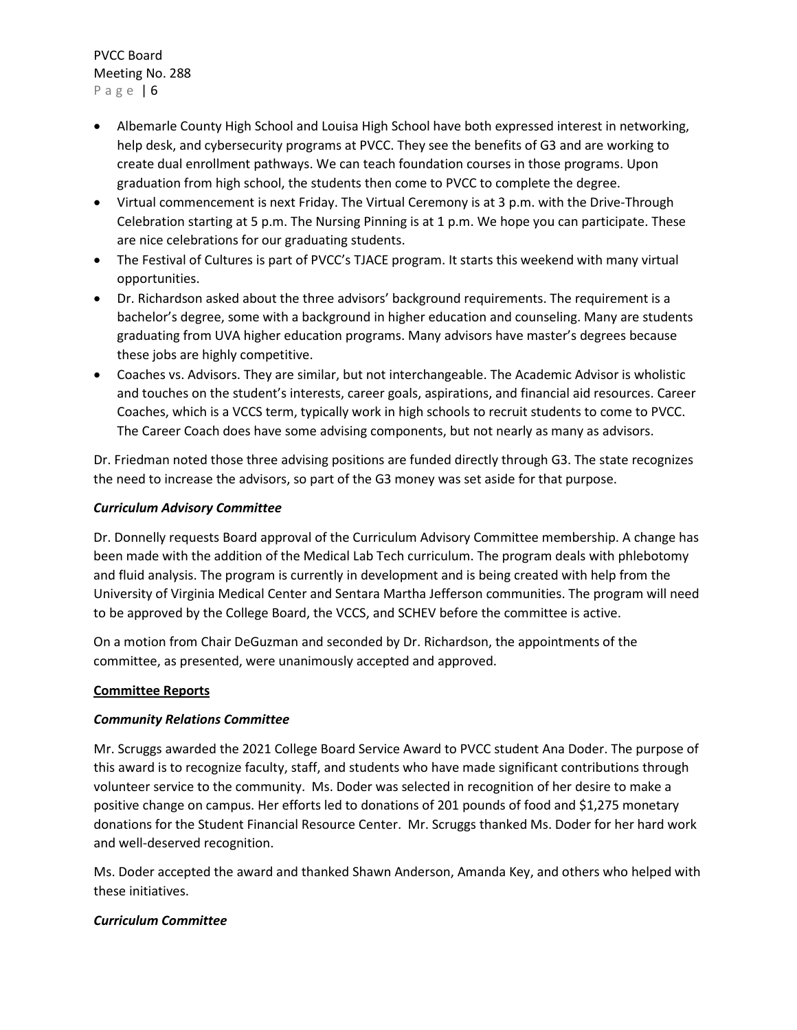- Albemarle County High School and Louisa High School have both expressed interest in networking, help desk, and cybersecurity programs at PVCC. They see the benefits of G3 and are working to create dual enrollment pathways. We can teach foundation courses in those programs. Upon graduation from high school, the students then come to PVCC to complete the degree.
- Virtual commencement is next Friday. The Virtual Ceremony is at 3 p.m. with the Drive-Through Celebration starting at 5 p.m. The Nursing Pinning is at 1 p.m. We hope you can participate. These are nice celebrations for our graduating students.
- The Festival of Cultures is part of PVCC's TJACE program. It starts this weekend with many virtual opportunities.
- Dr. Richardson asked about the three advisors' background requirements. The requirement is a bachelor's degree, some with a background in higher education and counseling. Many are students graduating from UVA higher education programs. Many advisors have master's degrees because these jobs are highly competitive.
- Coaches vs. Advisors. They are similar, but not interchangeable. The Academic Advisor is wholistic and touches on the student's interests, career goals, aspirations, and financial aid resources. Career Coaches, which is a VCCS term, typically work in high schools to recruit students to come to PVCC. The Career Coach does have some advising components, but not nearly as many as advisors.

Dr. Friedman noted those three advising positions are funded directly through G3. The state recognizes the need to increase the advisors, so part of the G3 money was set aside for that purpose.

## *Curriculum Advisory Committee*

Dr. Donnelly requests Board approval of the Curriculum Advisory Committee membership. A change has been made with the addition of the Medical Lab Tech curriculum. The program deals with phlebotomy and fluid analysis. The program is currently in development and is being created with help from the University of Virginia Medical Center and Sentara Martha Jefferson communities. The program will need to be approved by the College Board, the VCCS, and SCHEV before the committee is active.

On a motion from Chair DeGuzman and seconded by Dr. Richardson, the appointments of the committee, as presented, were unanimously accepted and approved.

## **Committee Reports**

## *Community Relations Committee*

Mr. Scruggs awarded the 2021 College Board Service Award to PVCC student Ana Doder. The purpose of this award is to recognize faculty, staff, and students who have made significant contributions through volunteer service to the community. Ms. Doder was selected in recognition of her desire to make a positive change on campus. Her efforts led to donations of 201 pounds of food and \$1,275 monetary donations for the Student Financial Resource Center. Mr. Scruggs thanked Ms. Doder for her hard work and well-deserved recognition.

Ms. Doder accepted the award and thanked Shawn Anderson, Amanda Key, and others who helped with these initiatives.

# *Curriculum Committee*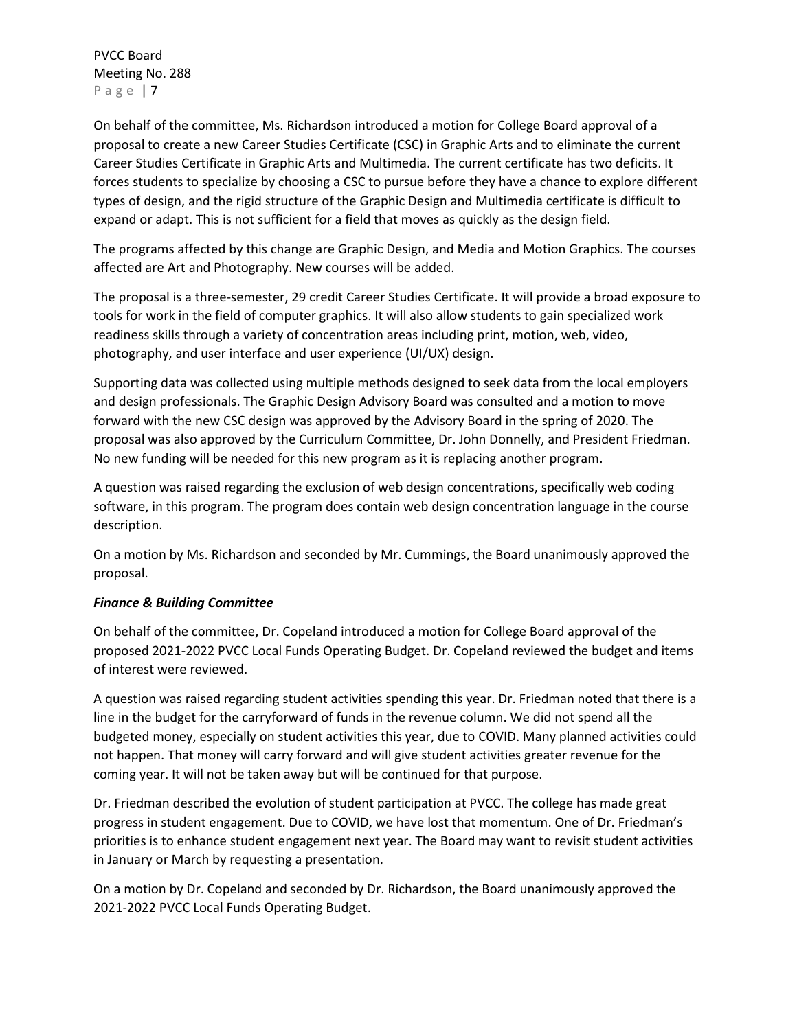On behalf of the committee, Ms. Richardson introduced a motion for College Board approval of a proposal to create a new Career Studies Certificate (CSC) in Graphic Arts and to eliminate the current Career Studies Certificate in Graphic Arts and Multimedia. The current certificate has two deficits. It forces students to specialize by choosing a CSC to pursue before they have a chance to explore different types of design, and the rigid structure of the Graphic Design and Multimedia certificate is difficult to expand or adapt. This is not sufficient for a field that moves as quickly as the design field.

The programs affected by this change are Graphic Design, and Media and Motion Graphics. The courses affected are Art and Photography. New courses will be added.

The proposal is a three-semester, 29 credit Career Studies Certificate. It will provide a broad exposure to tools for work in the field of computer graphics. It will also allow students to gain specialized work readiness skills through a variety of concentration areas including print, motion, web, video, photography, and user interface and user experience (UI/UX) design.

Supporting data was collected using multiple methods designed to seek data from the local employers and design professionals. The Graphic Design Advisory Board was consulted and a motion to move forward with the new CSC design was approved by the Advisory Board in the spring of 2020. The proposal was also approved by the Curriculum Committee, Dr. John Donnelly, and President Friedman. No new funding will be needed for this new program as it is replacing another program.

A question was raised regarding the exclusion of web design concentrations, specifically web coding software, in this program. The program does contain web design concentration language in the course description.

On a motion by Ms. Richardson and seconded by Mr. Cummings, the Board unanimously approved the proposal.

## *Finance & Building Committee*

On behalf of the committee, Dr. Copeland introduced a motion for College Board approval of the proposed 2021-2022 PVCC Local Funds Operating Budget. Dr. Copeland reviewed the budget and items of interest were reviewed.

A question was raised regarding student activities spending this year. Dr. Friedman noted that there is a line in the budget for the carryforward of funds in the revenue column. We did not spend all the budgeted money, especially on student activities this year, due to COVID. Many planned activities could not happen. That money will carry forward and will give student activities greater revenue for the coming year. It will not be taken away but will be continued for that purpose.

Dr. Friedman described the evolution of student participation at PVCC. The college has made great progress in student engagement. Due to COVID, we have lost that momentum. One of Dr. Friedman's priorities is to enhance student engagement next year. The Board may want to revisit student activities in January or March by requesting a presentation.

On a motion by Dr. Copeland and seconded by Dr. Richardson, the Board unanimously approved the 2021-2022 PVCC Local Funds Operating Budget.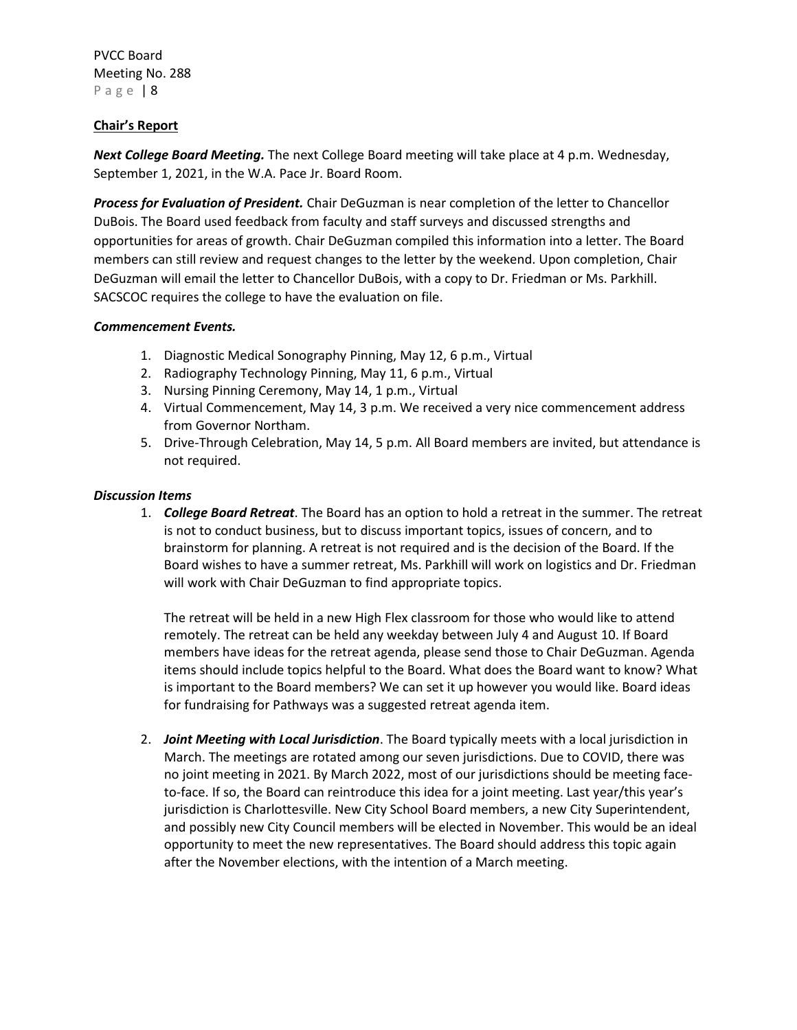## **Chair's Report**

*Next College Board Meeting.* The next College Board meeting will take place at 4 p.m. Wednesday, September 1, 2021, in the W.A. Pace Jr. Board Room.

*Process for Evaluation of President.* Chair DeGuzman is near completion of the letter to Chancellor DuBois. The Board used feedback from faculty and staff surveys and discussed strengths and opportunities for areas of growth. Chair DeGuzman compiled this information into a letter. The Board members can still review and request changes to the letter by the weekend. Upon completion, Chair DeGuzman will email the letter to Chancellor DuBois, with a copy to Dr. Friedman or Ms. Parkhill. SACSCOC requires the college to have the evaluation on file.

## *Commencement Events.*

- 1. Diagnostic Medical Sonography Pinning, May 12, 6 p.m., Virtual
- 2. Radiography Technology Pinning, May 11, 6 p.m., Virtual
- 3. Nursing Pinning Ceremony, May 14, 1 p.m., Virtual
- 4. Virtual Commencement, May 14, 3 p.m. We received a very nice commencement address from Governor Northam.
- 5. Drive-Through Celebration, May 14, 5 p.m. All Board members are invited, but attendance is not required.

#### *Discussion Items*

1. *College Board Retreat*. The Board has an option to hold a retreat in the summer. The retreat is not to conduct business, but to discuss important topics, issues of concern, and to brainstorm for planning. A retreat is not required and is the decision of the Board. If the Board wishes to have a summer retreat, Ms. Parkhill will work on logistics and Dr. Friedman will work with Chair DeGuzman to find appropriate topics.

The retreat will be held in a new High Flex classroom for those who would like to attend remotely. The retreat can be held any weekday between July 4 and August 10. If Board members have ideas for the retreat agenda, please send those to Chair DeGuzman. Agenda items should include topics helpful to the Board. What does the Board want to know? What is important to the Board members? We can set it up however you would like. Board ideas for fundraising for Pathways was a suggested retreat agenda item.

2. *Joint Meeting with Local Jurisdiction*. The Board typically meets with a local jurisdiction in March. The meetings are rotated among our seven jurisdictions. Due to COVID, there was no joint meeting in 2021. By March 2022, most of our jurisdictions should be meeting faceto-face. If so, the Board can reintroduce this idea for a joint meeting. Last year/this year's jurisdiction is Charlottesville. New City School Board members, a new City Superintendent, and possibly new City Council members will be elected in November. This would be an ideal opportunity to meet the new representatives. The Board should address this topic again after the November elections, with the intention of a March meeting.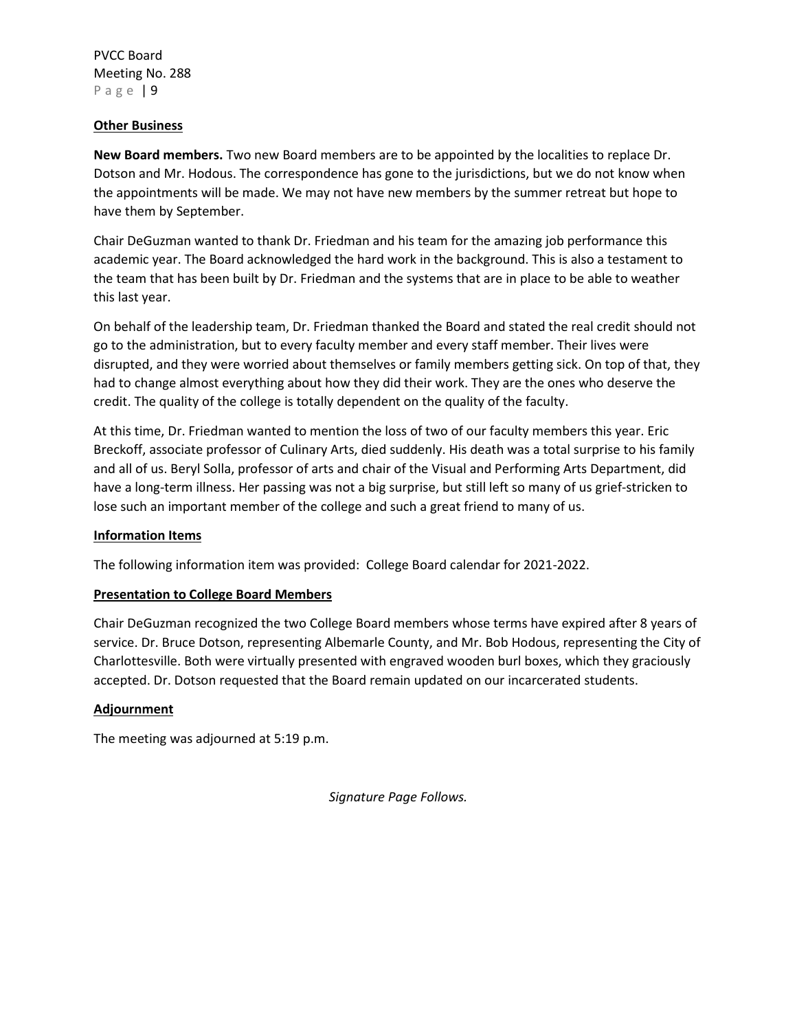#### **Other Business**

**New Board members.** Two new Board members are to be appointed by the localities to replace Dr. Dotson and Mr. Hodous. The correspondence has gone to the jurisdictions, but we do not know when the appointments will be made. We may not have new members by the summer retreat but hope to have them by September.

Chair DeGuzman wanted to thank Dr. Friedman and his team for the amazing job performance this academic year. The Board acknowledged the hard work in the background. This is also a testament to the team that has been built by Dr. Friedman and the systems that are in place to be able to weather this last year.

On behalf of the leadership team, Dr. Friedman thanked the Board and stated the real credit should not go to the administration, but to every faculty member and every staff member. Their lives were disrupted, and they were worried about themselves or family members getting sick. On top of that, they had to change almost everything about how they did their work. They are the ones who deserve the credit. The quality of the college is totally dependent on the quality of the faculty.

At this time, Dr. Friedman wanted to mention the loss of two of our faculty members this year. Eric Breckoff, associate professor of Culinary Arts, died suddenly. His death was a total surprise to his family and all of us. Beryl Solla, professor of arts and chair of the Visual and Performing Arts Department, did have a long-term illness. Her passing was not a big surprise, but still left so many of us grief-stricken to lose such an important member of the college and such a great friend to many of us.

## **Information Items**

The following information item was provided: College Board calendar for 2021-2022.

## **Presentation to College Board Members**

Chair DeGuzman recognized the two College Board members whose terms have expired after 8 years of service. Dr. Bruce Dotson, representing Albemarle County, and Mr. Bob Hodous, representing the City of Charlottesville. Both were virtually presented with engraved wooden burl boxes, which they graciously accepted. Dr. Dotson requested that the Board remain updated on our incarcerated students.

#### **Adjournment**

The meeting was adjourned at 5:19 p.m.

*Signature Page Follows.*